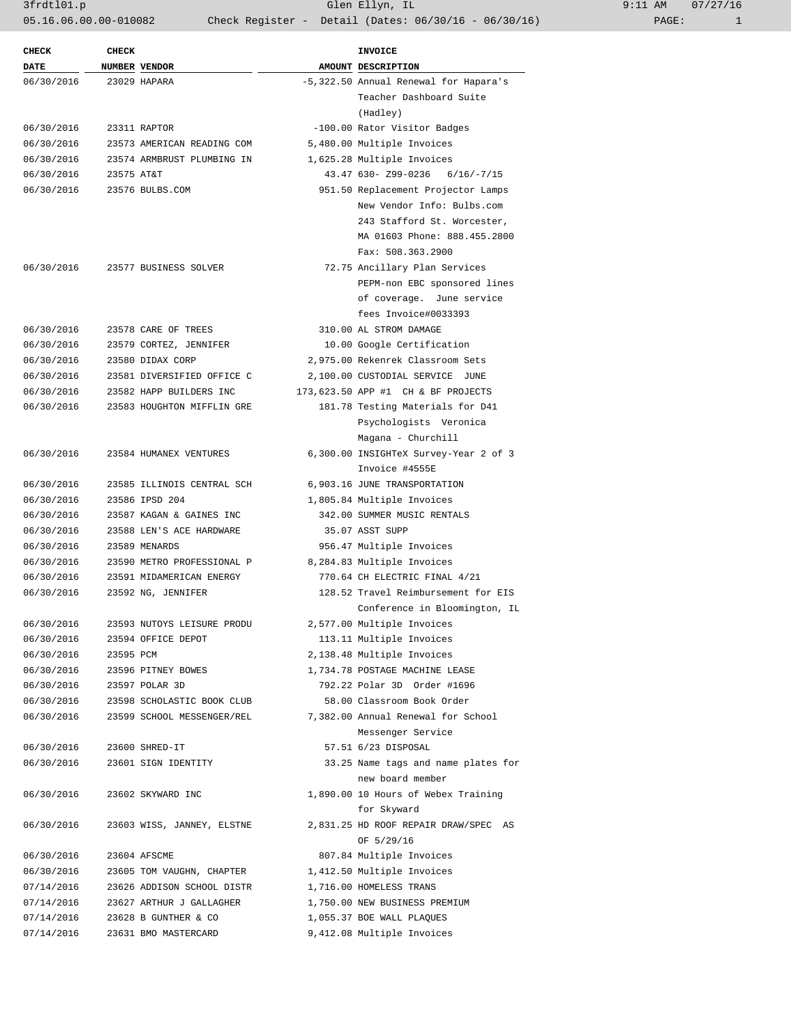3frdtl01.p Glen Ellyn, IL 9:11 AM 07/27/16 05.16.06.00.00-010082 Check Register - Detail (Dates: 06/30/16 - 06/30/16) PAGE: 1

| <b>CHECK</b> | <b>CHECK</b> |                            | <b>INVOICE</b>                                            |  |  |
|--------------|--------------|----------------------------|-----------------------------------------------------------|--|--|
| DATE         |              | NUMBER VENDOR              | AMOUNT DESCRIPTION                                        |  |  |
| 06/30/2016   |              | 23029 HAPARA               | -5,322.50 Annual Renewal for Hapara's                     |  |  |
|              |              |                            | Teacher Dashboard Suite                                   |  |  |
|              |              |                            | (Hadley)                                                  |  |  |
| 06/30/2016   |              | 23311 RAPTOR               | -100.00 Rator Visitor Badges                              |  |  |
| 06/30/2016   |              | 23573 AMERICAN READING COM | 5,480.00 Multiple Invoices                                |  |  |
| 06/30/2016   |              | 23574 ARMBRUST PLUMBING IN | 1,625.28 Multiple Invoices                                |  |  |
| 06/30/2016   | 23575 AT&T   |                            | 43.47 630- Z99-0236 6/16/-7/15                            |  |  |
| 06/30/2016   |              | 23576 BULBS.COM            | 951.50 Replacement Projector Lamps                        |  |  |
|              |              |                            | New Vendor Info: Bulbs.com                                |  |  |
|              |              |                            | 243 Stafford St. Worcester,                               |  |  |
|              |              |                            | MA 01603 Phone: 888.455.2800                              |  |  |
|              |              |                            | Fax: 508.363.2900                                         |  |  |
| 06/30/2016   |              | 23577 BUSINESS SOLVER      | 72.75 Ancillary Plan Services                             |  |  |
|              |              |                            | PEPM-non EBC sponsored lines                              |  |  |
|              |              |                            | of coverage. June service                                 |  |  |
|              |              |                            | fees Invoice#0033393                                      |  |  |
| 06/30/2016   |              | 23578 CARE OF TREES        | 310.00 AL STROM DAMAGE                                    |  |  |
| 06/30/2016   |              | 23579 CORTEZ, JENNIFER     | 10.00 Google Certification                                |  |  |
| 06/30/2016   |              | 23580 DIDAX CORP           | 2,975.00 Rekenrek Classroom Sets                          |  |  |
| 06/30/2016   |              | 23581 DIVERSIFIED OFFICE C | 2,100.00 CUSTODIAL SERVICE JUNE                           |  |  |
| 06/30/2016   |              | 23582 HAPP BUILDERS INC    | 173,623.50 APP #1 CH & BF PROJECTS                        |  |  |
| 06/30/2016   |              | 23583 HOUGHTON MIFFLIN GRE | 181.78 Testing Materials for D41                          |  |  |
|              |              |                            | Psychologists Veronica                                    |  |  |
|              |              |                            | Magana - Churchill                                        |  |  |
| 06/30/2016   |              | 23584 HUMANEX VENTURES     | 6,300.00 INSIGHTeX Survey-Year 2 of 3                     |  |  |
|              |              |                            | Invoice #4555E                                            |  |  |
| 06/30/2016   |              | 23585 ILLINOIS CENTRAL SCH | 6,903.16 JUNE TRANSPORTATION                              |  |  |
| 06/30/2016   |              | 23586 IPSD 204             | 1,805.84 Multiple Invoices                                |  |  |
| 06/30/2016   |              | 23587 KAGAN & GAINES INC   | 342.00 SUMMER MUSIC RENTALS                               |  |  |
| 06/30/2016   |              | 23588 LEN'S ACE HARDWARE   | 35.07 ASST SUPP                                           |  |  |
| 06/30/2016   |              | 23589 MENARDS              | 956.47 Multiple Invoices                                  |  |  |
| 06/30/2016   |              | 23590 METRO PROFESSIONAL P | 8,284.83 Multiple Invoices                                |  |  |
| 06/30/2016   |              | 23591 MIDAMERICAN ENERGY   | 770.64 CH ELECTRIC FINAL 4/21                             |  |  |
| 06/30/2016   |              | 23592 NG, JENNIFER         | 128.52 Travel Reimbursement for EIS                       |  |  |
|              |              |                            | Conference in Bloomington, IL                             |  |  |
| 06/30/2016   |              | 23593 NUTOYS LEISURE PRODU | 2,577.00 Multiple Invoices                                |  |  |
| 06/30/2016   |              | 23594 OFFICE DEPOT         | 113.11 Multiple Invoices                                  |  |  |
| 06/30/2016   | 23595 PCM    |                            | 2,138.48 Multiple Invoices                                |  |  |
| 06/30/2016   |              | 23596 PITNEY BOWES         | 1,734.78 POSTAGE MACHINE LEASE                            |  |  |
| 06/30/2016   |              | 23597 POLAR 3D             |                                                           |  |  |
| 06/30/2016   |              | 23598 SCHOLASTIC BOOK CLUB | 792.22 Polar 3D Order #1696<br>58.00 Classroom Book Order |  |  |
| 06/30/2016   |              | 23599 SCHOOL MESSENGER/REL | 7,382.00 Annual Renewal for School                        |  |  |
|              |              |                            |                                                           |  |  |
|              |              |                            | Messenger Service                                         |  |  |
| 06/30/2016   |              | 23600 SHRED-IT             | 57.51 6/23 DISPOSAL                                       |  |  |
| 06/30/2016   |              | 23601 SIGN IDENTITY        | 33.25 Name tags and name plates for                       |  |  |
|              |              |                            | new board member                                          |  |  |
| 06/30/2016   |              | 23602 SKYWARD INC          | 1,890.00 10 Hours of Webex Training                       |  |  |
|              |              |                            | for Skyward                                               |  |  |
| 06/30/2016   |              | 23603 WISS, JANNEY, ELSTNE | 2,831.25 HD ROOF REPAIR DRAW/SPEC AS                      |  |  |
|              |              |                            | OF 5/29/16                                                |  |  |
| 06/30/2016   |              | 23604 AFSCME               | 807.84 Multiple Invoices                                  |  |  |
| 06/30/2016   |              | 23605 TOM VAUGHN, CHAPTER  | 1,412.50 Multiple Invoices                                |  |  |
| 07/14/2016   |              | 23626 ADDISON SCHOOL DISTR | 1,716.00 HOMELESS TRANS                                   |  |  |
| 07/14/2016   |              | 23627 ARTHUR J GALLAGHER   | 1,750.00 NEW BUSINESS PREMIUM                             |  |  |
| 07/14/2016   |              | 23628 B GUNTHER & CO       | 1,055.37 BOE WALL PLAQUES                                 |  |  |
| 07/14/2016   |              | 23631 BMO MASTERCARD       | 9,412.08 Multiple Invoices                                |  |  |
|              |              |                            |                                                           |  |  |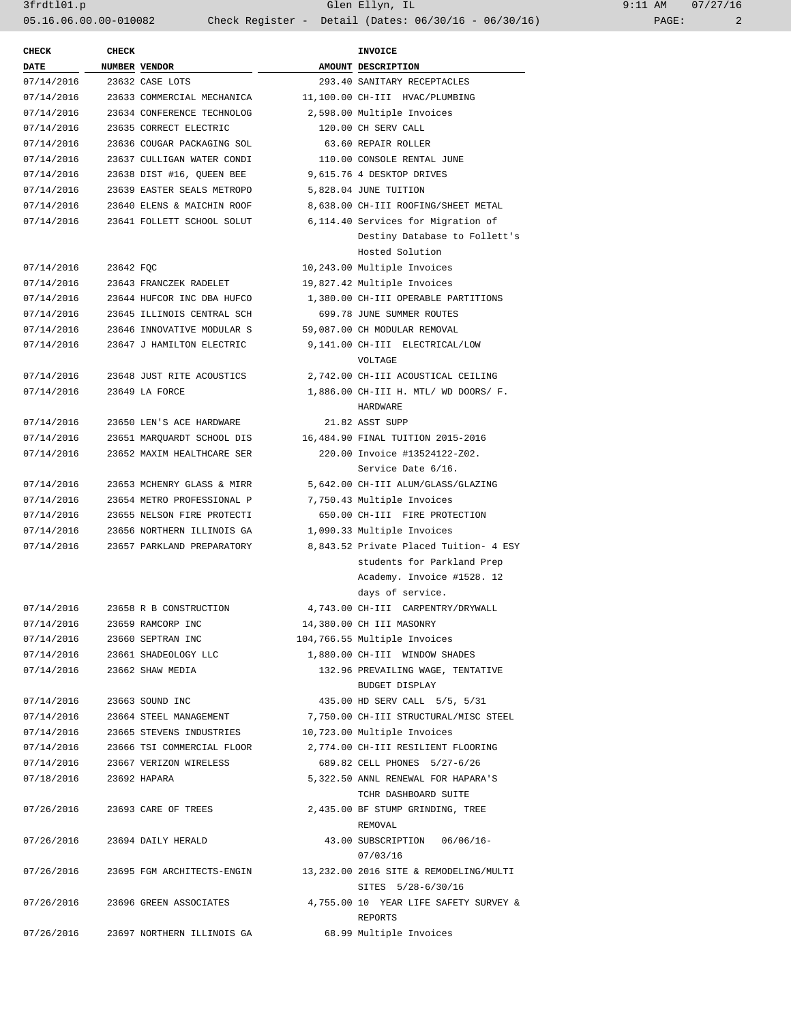3frdtl01.p Glen Ellyn, IL 9:11 AM 07/27/16 05.16.06.00.00-010082 Check Register - Detail (Dates: 06/30/16 - 06/30/16) PAGE: 2

| <b>CHECK</b> | <b>CHECK</b> | <b>INVOICE</b>                  |  |                                        |  |
|--------------|--------------|---------------------------------|--|----------------------------------------|--|
| <b>DATE</b>  |              | NUMBER VENDOR                   |  | AMOUNT DESCRIPTION                     |  |
| 07/14/2016   |              | 23632 CASE LOTS                 |  | 293.40 SANITARY RECEPTACLES            |  |
| 07/14/2016   |              | 23633 COMMERCIAL MECHANICA      |  | 11,100.00 CH-III HVAC/PLUMBING         |  |
| 07/14/2016   |              | 23634 CONFERENCE TECHNOLOG      |  | 2,598.00 Multiple Invoices             |  |
| 07/14/2016   |              | 23635 CORRECT ELECTRIC          |  | 120.00 CH SERV CALL                    |  |
| 07/14/2016   |              | 23636 COUGAR PACKAGING SOL      |  | 63.60 REPAIR ROLLER                    |  |
| 07/14/2016   |              | 23637 CULLIGAN WATER CONDI      |  | 110.00 CONSOLE RENTAL JUNE             |  |
| 07/14/2016   |              | 23638 DIST #16, QUEEN BEE       |  | 9,615.76 4 DESKTOP DRIVES              |  |
| 07/14/2016   |              | 23639 EASTER SEALS METROPO      |  | 5,828.04 JUNE TUITION                  |  |
| 07/14/2016   |              | 23640 ELENS & MAICHIN ROOF      |  | 8,638.00 CH-III ROOFING/SHEET METAL    |  |
| 07/14/2016   |              | 23641 FOLLETT SCHOOL SOLUT      |  | 6,114.40 Services for Migration of     |  |
|              |              |                                 |  | Destiny Database to Follett's          |  |
|              |              |                                 |  | Hosted Solution                        |  |
| 07/14/2016   | 23642 FOC    |                                 |  | 10,243.00 Multiple Invoices            |  |
| 07/14/2016   |              | 23643 FRANCZEK RADELET          |  | 19,827.42 Multiple Invoices            |  |
| 07/14/2016   |              | 23644 HUFCOR INC DBA HUFCO      |  | 1,380.00 CH-III OPERABLE PARTITIONS    |  |
| 07/14/2016   |              | 23645 ILLINOIS CENTRAL SCH      |  | 699.78 JUNE SUMMER ROUTES              |  |
| 07/14/2016   |              | 23646 INNOVATIVE MODULAR S      |  | 59,087.00 CH MODULAR REMOVAL           |  |
| 07/14/2016   |              | 23647 J HAMILTON ELECTRIC       |  | 9,141.00 CH-III ELECTRICAL/LOW         |  |
|              |              |                                 |  | <b>VOLTAGE</b>                         |  |
| 07/14/2016   |              | 23648 JUST RITE ACOUSTICS       |  | 2,742.00 CH-III ACOUSTICAL CEILING     |  |
| 07/14/2016   |              | 23649 LA FORCE                  |  | 1,886.00 CH-III H. MTL/ WD DOORS/ F.   |  |
|              |              |                                 |  | HARDWARE                               |  |
| 07/14/2016   |              | 23650 LEN'S ACE HARDWARE        |  | 21.82 ASST SUPP                        |  |
| 07/14/2016   |              | 23651 MARQUARDT SCHOOL DIS      |  | 16,484.90 FINAL TUITION 2015-2016      |  |
| 07/14/2016   |              | 23652 MAXIM HEALTHCARE SER      |  | 220.00 Invoice #13524122-Z02.          |  |
|              |              |                                 |  | Service Date 6/16.                     |  |
| 07/14/2016   |              | 23653 MCHENRY GLASS & MIRR      |  | 5,642.00 CH-III ALUM/GLASS/GLAZING     |  |
| 07/14/2016   |              | 23654 METRO PROFESSIONAL P      |  | 7,750.43 Multiple Invoices             |  |
| 07/14/2016   |              | 23655 NELSON FIRE PROTECTI      |  | 650.00 CH-III FIRE PROTECTION          |  |
| 07/14/2016   |              | 23656 NORTHERN ILLINOIS GA      |  | 1,090.33 Multiple Invoices             |  |
| 07/14/2016   |              | 23657 PARKLAND PREPARATORY      |  | 8,843.52 Private Placed Tuition- 4 ESY |  |
|              |              |                                 |  | students for Parkland Prep             |  |
|              |              |                                 |  | Academy. Invoice #1528. 12             |  |
|              |              |                                 |  | days of service.                       |  |
| 07/14/2016   |              | 23658 R B CONSTRUCTION          |  | 4,743.00 CH-III CARPENTRY/DRYWALL      |  |
| 07/14/2016   |              | 23659 RAMCORP INC               |  | 14,380.00 CH III MASONRY               |  |
| 07/14/2016   |              | 23660 SEPTRAN INC               |  | 104,766.55 Multiple Invoices           |  |
|              |              | 07/14/2016 23661 SHADEOLOGY LLC |  | 1,880.00 CH-III WINDOW SHADES          |  |
| 07/14/2016   |              | 23662 SHAW MEDIA                |  | 132.96 PREVAILING WAGE, TENTATIVE      |  |
|              |              |                                 |  | BUDGET DISPLAY                         |  |
| 07/14/2016   |              | 23663 SOUND INC                 |  | 435.00 HD SERV CALL 5/5, 5/31          |  |
| 07/14/2016   |              | 23664 STEEL MANAGEMENT          |  | 7,750.00 CH-III STRUCTURAL/MISC STEEL  |  |
| 07/14/2016   |              | 23665 STEVENS INDUSTRIES        |  | 10,723.00 Multiple Invoices            |  |
| 07/14/2016   |              | 23666 TSI COMMERCIAL FLOOR      |  | 2,774.00 CH-III RESILIENT FLOORING     |  |
| 07/14/2016   |              | 23667 VERIZON WIRELESS          |  | 689.82 CELL PHONES 5/27-6/26           |  |
| 07/18/2016   |              | 23692 HAPARA                    |  | 5,322.50 ANNL RENEWAL FOR HAPARA'S     |  |
|              |              |                                 |  | TCHR DASHBOARD SUITE                   |  |
| 07/26/2016   |              | 23693 CARE OF TREES             |  | 2,435.00 BF STUMP GRINDING, TREE       |  |
|              |              |                                 |  | REMOVAL                                |  |
| 07/26/2016   |              | 23694 DAILY HERALD              |  | 43.00 SUBSCRIPTION 06/06/16-           |  |
|              |              |                                 |  | 07/03/16                               |  |
| 07/26/2016   |              | 23695 FGM ARCHITECTS-ENGIN      |  | 13,232.00 2016 SITE & REMODELING/MULTI |  |
|              |              |                                 |  | SITES 5/28-6/30/16                     |  |
| 07/26/2016   |              | 23696 GREEN ASSOCIATES          |  | 4,755.00 10 YEAR LIFE SAFETY SURVEY &  |  |
|              |              |                                 |  | REPORTS                                |  |
| 07/26/2016   |              | 23697 NORTHERN ILLINOIS GA      |  | 68.99 Multiple Invoices                |  |
|              |              |                                 |  |                                        |  |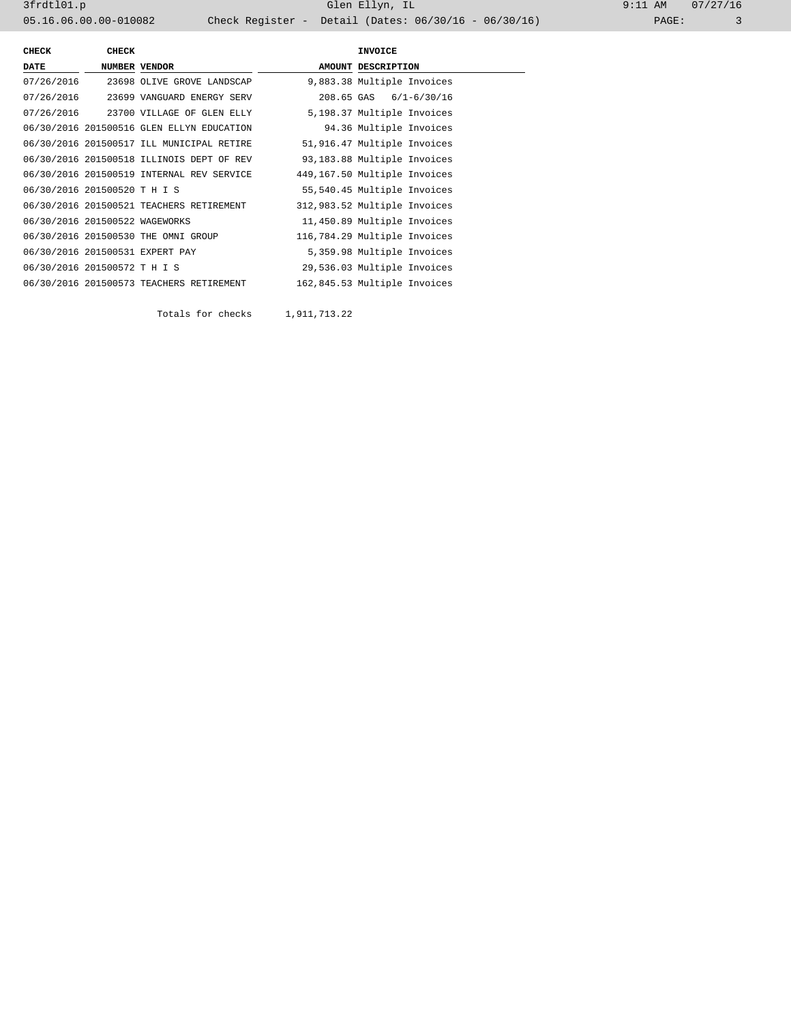3frdtl01.p Glen Ellyn, IL 9:11 AM 07/27/16 05.16.06.00.00-010082 Check Register - Detail (Dates: 06/30/16 - 06/30/16) PAGE: 3

| CHECK                          | <b>CHECK</b> |                                           | <b>INVOICE</b>               |
|--------------------------------|--------------|-------------------------------------------|------------------------------|
| <b>DATE</b>                    |              | NUMBER VENDOR                             | AMOUNT DESCRIPTION           |
| 07/26/2016                     |              | 23698 OLIVE GROVE LANDSCAP                | 9,883.38 Multiple Invoices   |
| 07/26/2016                     |              | 23699 VANGUARD ENERGY SERV                | 208.65 GAS 6/1-6/30/16       |
|                                |              | 07/26/2016 23700 VILLAGE OF GLEN ELLY     | 5,198.37 Multiple Invoices   |
|                                |              | 06/30/2016 201500516 GLEN ELLYN EDUCATION | 94.36 Multiple Invoices      |
|                                |              | 06/30/2016 201500517 ILL MUNICIPAL RETIRE | 51,916.47 Multiple Invoices  |
|                                |              | 06/30/2016 201500518 ILLINOIS DEPT OF REV | 93,183.88 Multiple Invoices  |
|                                |              | 06/30/2016 201500519 INTERNAL REV SERVICE | 449,167.50 Multiple Invoices |
| 06/30/2016 201500520 T H I S   |              |                                           | 55,540.45 Multiple Invoices  |
|                                |              | 06/30/2016 201500521 TEACHERS RETIREMENT  | 312,983.52 Multiple Invoices |
| 06/30/2016 201500522 WAGEWORKS |              |                                           | 11,450.89 Multiple Invoices  |
|                                |              | 06/30/2016 201500530 THE OMNI GROUP       | 116,784.29 Multiple Invoices |
|                                |              | 06/30/2016 201500531 EXPERT PAY           | 5,359.98 Multiple Invoices   |
| 06/30/2016 201500572 T H I S   |              |                                           | 29,536.03 Multiple Invoices  |
|                                |              | 06/30/2016 201500573 TEACHERS RETIREMENT  | 162,845.53 Multiple Invoices |

Totals for checks 1,911,713.22